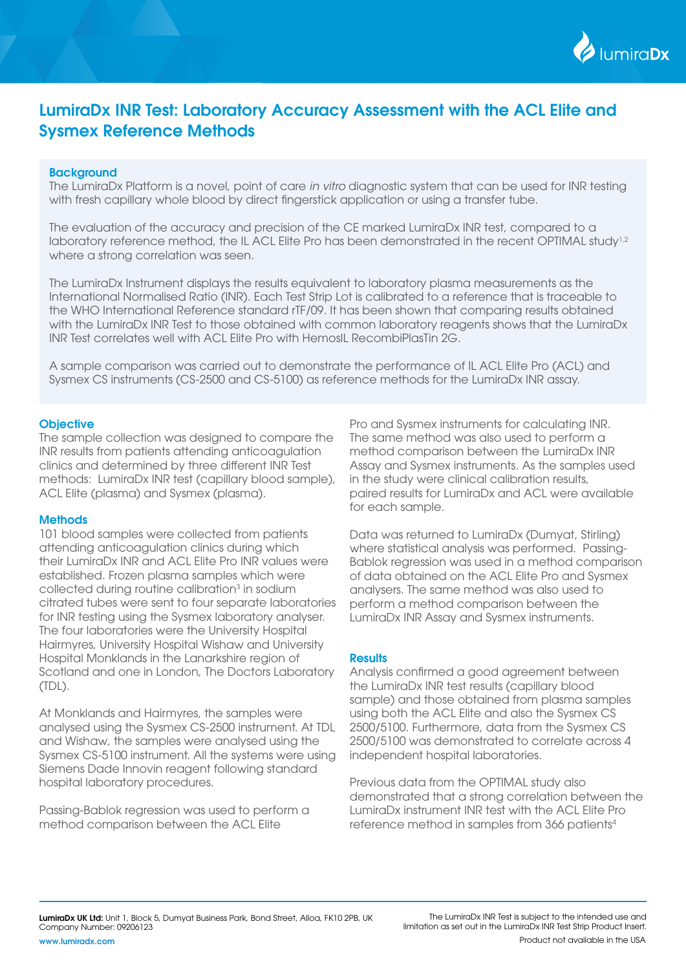

# LumiraDx INR Test: Laboratory Accuracy Assessment with the ACL Elite and Sysmex Reference Methods

### **Background**

The LumiraDx Platform is a novel, point of care *in vitro* diagnostic system that can be used for INR testing with fresh capillary whole blood by direct fingerstick application or using a transfer tube.

The evaluation of the accuracy and precision of the CE marked LumiraDx INR test, compared to a laboratory reference method, the IL ACL Elite Pro has been demonstrated in the recent OPTIMAL study<sup>1,2</sup> where a strong correlation was seen.

The LumiraDx Instrument displays the results equivalent to laboratory plasma measurements as the International Normalised Ratio (INR). Each Test Strip Lot is calibrated to a reference that is traceable to the WHO International Reference standard rTF/09. It has been shown that comparing results obtained with the LumiraDx INR Test to those obtained with common laboratory reagents shows that the LumiraDx INR Test correlates well with ACL Elite Pro with HemosIL RecombiPlasTin 2G.

A sample comparison was carried out to demonstrate the performance of IL ACL Elite Pro (ACL) and Sysmex CS instruments (CS-2500 and CS-5100) as reference methods for the LumiraDx INR assay.

### **Objective**

The sample collection was designed to compare the INR results from patients attending anticoagulation clinics and determined by three different INR Test methods: LumiraDx INR test (capillary blood sample), ACL Elite (plasma) and Sysmex (plasma).

#### **Methods**

101 blood samples were collected from patients attending anticoagulation clinics during which their LumiraDx INR and ACL Elite Pro INR values were established. Frozen plasma samples which were collected during routine calibration<sup>3</sup> in sodium citrated tubes were sent to four separate laboratories for INR testing using the Sysmex laboratory analyser. The four laboratories were the University Hospital Hairmyres, University Hospital Wishaw and University Hospital Monklands in the Lanarkshire region of Scotland and one in London, The Doctors Laboratory (TDL).

At Monklands and Hairmyres, the samples were analysed using the Sysmex CS-2500 instrument. At TDL and Wishaw, the samples were analysed using the Sysmex CS-5100 instrument. All the systems were using Siemens Dade Innovin reagent following standard hospital laboratory procedures.

Passing-Bablok regression was used to perform a method comparison between the ACL Elite

Pro and Sysmex instruments for calculating INR. The same method was also used to perform a method comparison between the LumiraDx INR Assay and Sysmex instruments. As the samples used in the study were clinical calibration results, paired results for LumiraDx and ACL were available for each sample.

Data was returned to LumiraDx (Dumyat, Stirling) where statistical analysis was performed. Passing-Bablok regression was used in a method comparison of data obtained on the ACL Elite Pro and Sysmex analysers. The same method was also used to perform a method comparison between the LumiraDx INR Assay and Sysmex instruments.

### **Results**

Analysis confirmed a good agreement between the LumiraDx INR test results (capillary blood sample) and those obtained from plasma samples using both the ACL Elite and also the Sysmex CS 2500/5100. Furthermore, data from the Sysmex CS 2500/5100 was demonstrated to correlate across 4 independent hospital laboratories.

Previous data from the OPTIMAL study also demonstrated that a strong correlation between the LumiraDx instrument INR test with the ACL Elite Pro reference method in samples from 366 patients4